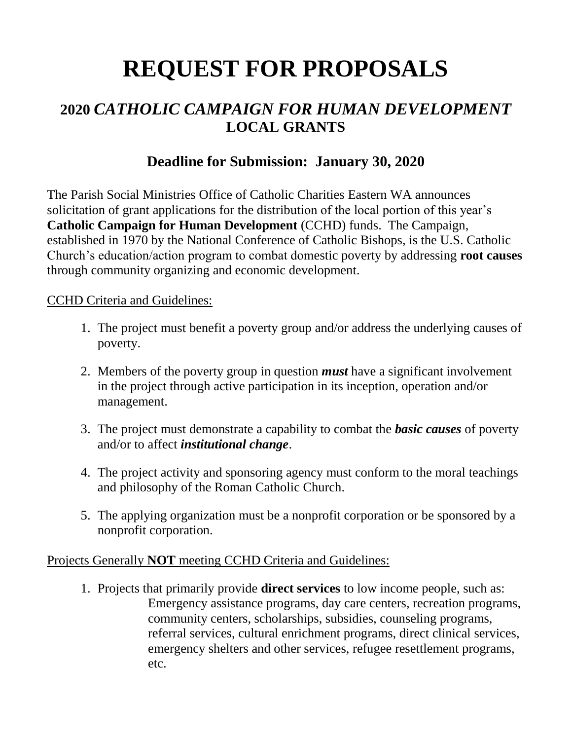# **REQUEST FOR PROPOSALS**

## **2020** *CATHOLIC CAMPAIGN FOR HUMAN DEVELOPMENT* **LOCAL GRANTS**

## **Deadline for Submission: January 30, 2020**

The Parish Social Ministries Office of Catholic Charities Eastern WA announces solicitation of grant applications for the distribution of the local portion of this year's **Catholic Campaign for Human Development** (CCHD) funds. The Campaign, established in 1970 by the National Conference of Catholic Bishops, is the U.S. Catholic Church's education/action program to combat domestic poverty by addressing **root causes** through community organizing and economic development.

#### CCHD Criteria and Guidelines:

- 1. The project must benefit a poverty group and/or address the underlying causes of poverty.
- 2. Members of the poverty group in question *must* have a significant involvement in the project through active participation in its inception, operation and/or management.
- 3. The project must demonstrate a capability to combat the *basic causes* of poverty and/or to affect *institutional change*.
- 4. The project activity and sponsoring agency must conform to the moral teachings and philosophy of the Roman Catholic Church.
- 5. The applying organization must be a nonprofit corporation or be sponsored by a nonprofit corporation.

### Projects Generally **NOT** meeting CCHD Criteria and Guidelines:

1. Projects that primarily provide **direct services** to low income people, such as: Emergency assistance programs, day care centers, recreation programs, community centers, scholarships, subsidies, counseling programs, referral services, cultural enrichment programs, direct clinical services, emergency shelters and other services, refugee resettlement programs, etc.